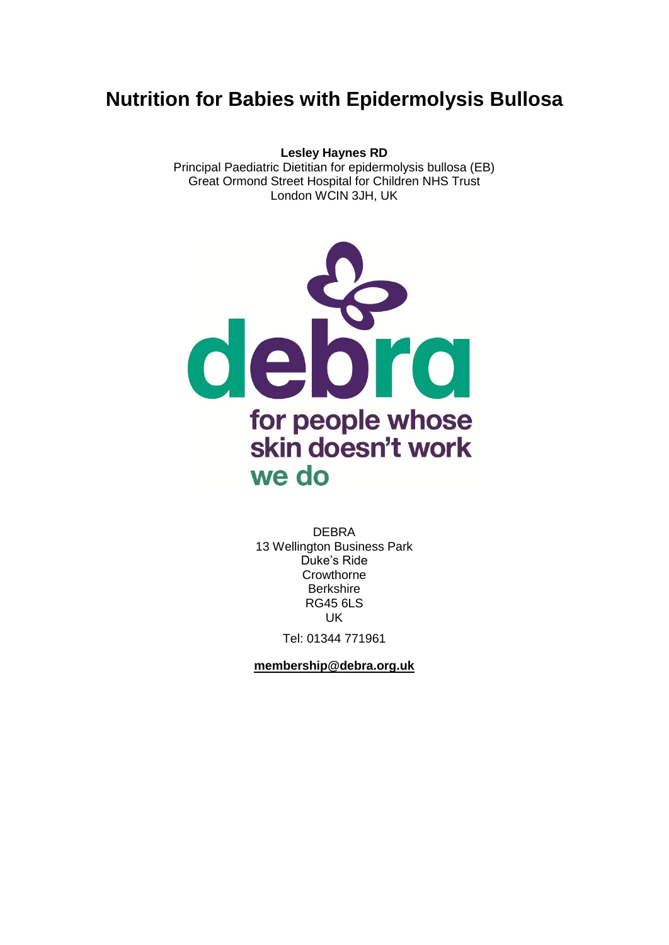# **Nutrition for Babies with Epidermolysis Bullosa**

**Lesley Haynes RD** Principal Paediatric Dietitian for epidermolysis bullosa (EB) Great Ormond Street Hospital for Children NHS Trust London WCIN 3JH, UK



DEBRA 13 Wellington Business Park Duke's Ride **Crowthorne Berkshire** RG45 6LS UK

Tel: 01344 771961

**[membership@debra.org.uk](mailto:membership@debra.org.uk)**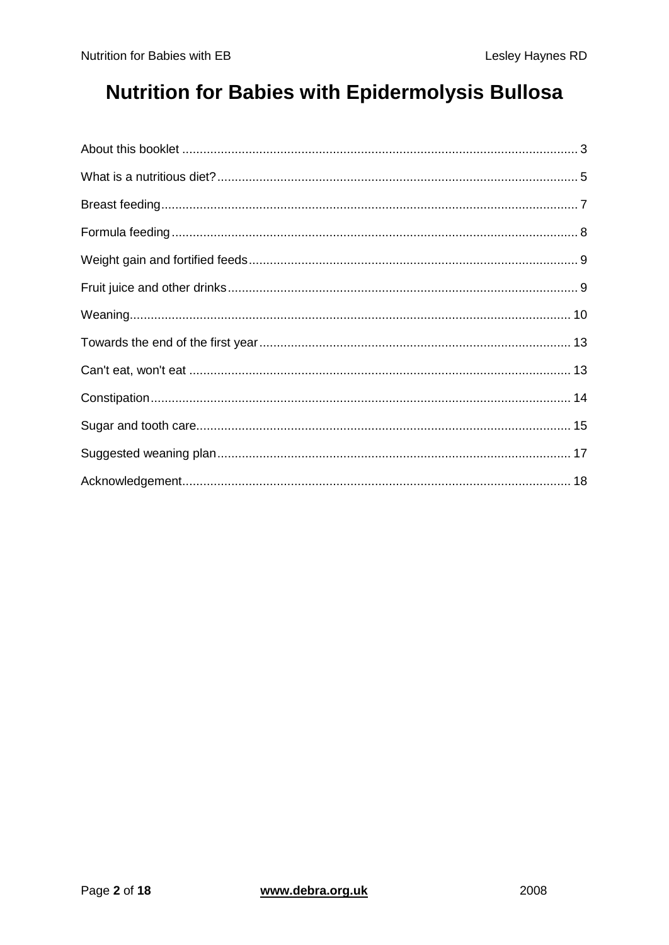# **Nutrition for Babies with Epidermolysis Bullosa**

<span id="page-1-0"></span>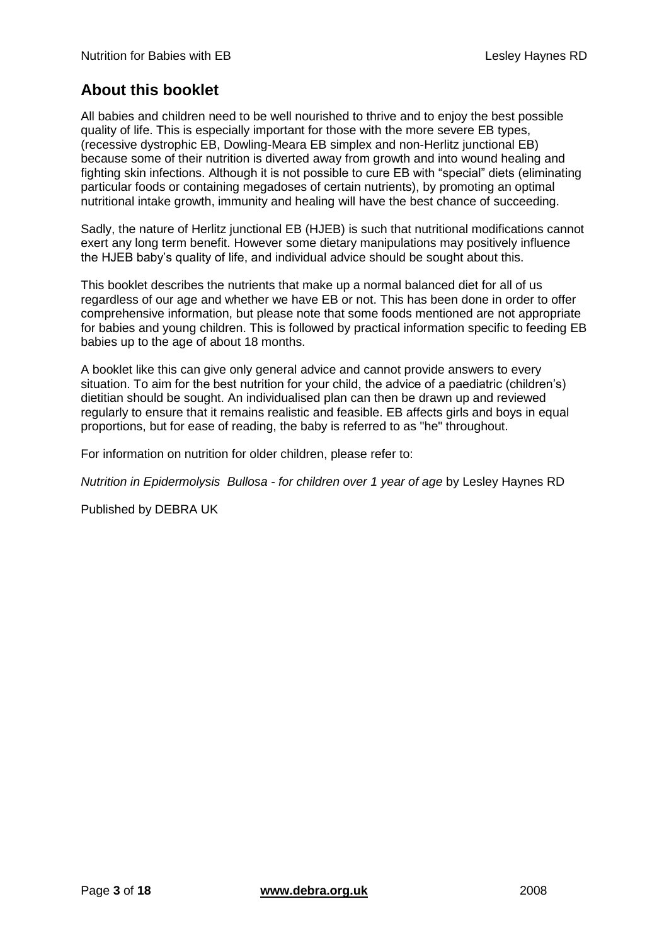# **About this booklet**

All babies and children need to be well nourished to thrive and to enjoy the best possible quality of life. This is especially important for those with the more severe EB types, (recessive dystrophic EB, Dowling-Meara EB simplex and non-Herlitz junctional EB) because some of their nutrition is diverted away from growth and into wound healing and fighting skin infections. Although it is not possible to cure EB with "special" diets (eliminating particular foods or containing megadoses of certain nutrients), by promoting an optimal nutritional intake growth, immunity and healing will have the best chance of succeeding.

Sadly, the nature of Herlitz junctional EB (HJEB) is such that nutritional modifications cannot exert any long term benefit. However some dietary manipulations may positively influence the HJEB baby's quality of life, and individual advice should be sought about this.

This booklet describes the nutrients that make up a normal balanced diet for all of us regardless of our age and whether we have EB or not. This has been done in order to offer comprehensive information, but please note that some foods mentioned are not appropriate for babies and young children. This is followed by practical information specific to feeding EB babies up to the age of about 18 months.

A booklet like this can give only general advice and cannot provide answers to every situation. To aim for the best nutrition for your child, the advice of a paediatric (children's) dietitian should be sought. An individualised plan can then be drawn up and reviewed regularly to ensure that it remains realistic and feasible. EB affects girls and boys in equal proportions, but for ease of reading, the baby is referred to as "he" throughout.

For information on nutrition for older children, please refer to:

*Nutrition in Epidermolysis Bullosa - for children over 1 year of age* by Lesley Haynes RD

Published by DEBRA UK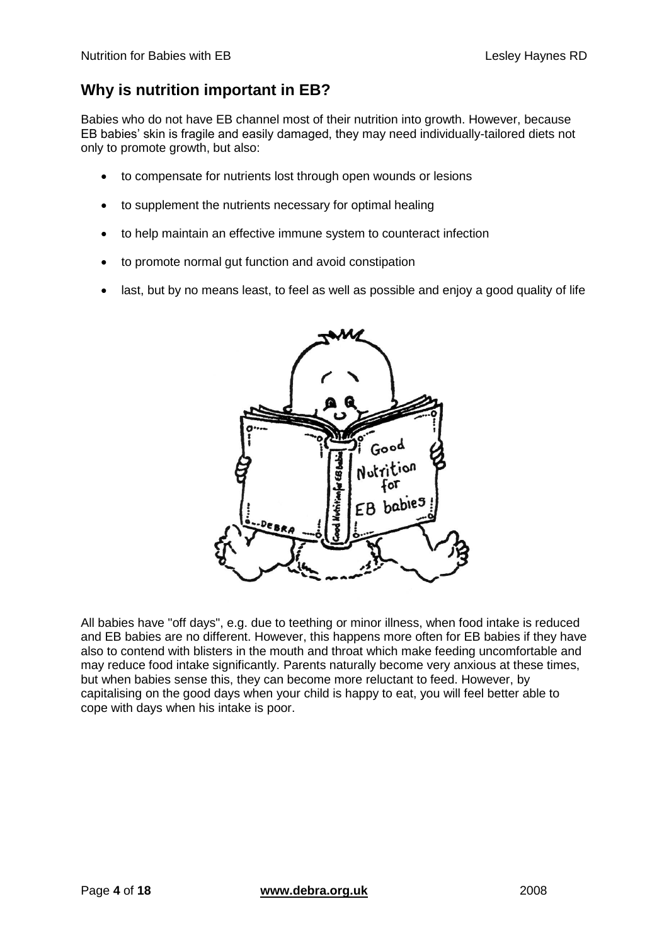# **Why is nutrition important in EB?**

Babies who do not have EB channel most of their nutrition into growth. However, because EB babies' skin is fragile and easily damaged, they may need individually-tailored diets not only to promote growth, but also:

- to compensate for nutrients lost through open wounds or lesions
- to supplement the nutrients necessary for optimal healing
- to help maintain an effective immune system to counteract infection
- to promote normal gut function and avoid constipation
- last, but by no means least, to feel as well as possible and enjoy a good quality of life



All babies have "off days", e.g. due to teething or minor illness, when food intake is reduced and EB babies are no different. However, this happens more often for EB babies if they have also to contend with blisters in the mouth and throat which make feeding uncomfortable and may reduce food intake significantly. Parents naturally become very anxious at these times, but when babies sense this, they can become more reluctant to feed. However, by capitalising on the good days when your child is happy to eat, you will feel better able to cope with days when his intake is poor.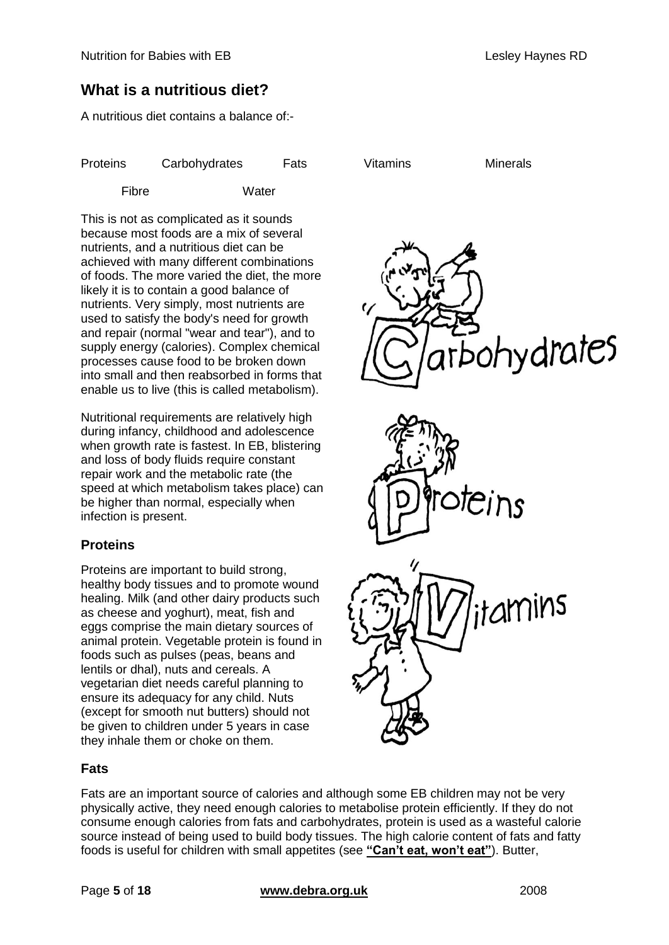# <span id="page-4-0"></span>**What is a nutritious diet?**

A nutritious diet contains a balance of:-

| <b>Proteins</b> | Carbohydrates | Fats | Vitamins | <b>Minerals</b> |
|-----------------|---------------|------|----------|-----------------|
|                 |               |      |          |                 |

Fibre Water

This is not as complicated as it sounds because most foods are a mix of several nutrients, and a nutritious diet can be achieved with many different combinations of foods. The more varied the diet, the more likely it is to contain a good balance of nutrients. Very simply, most nutrients are used to satisfy the body's need for growth and repair (normal "wear and tear"), and to supply energy (calories). Complex chemical processes cause food to be broken down into small and then reabsorbed in forms that enable us to live (this is called metabolism).

Nutritional requirements are relatively high during infancy, childhood and adolescence when growth rate is fastest. In EB, blistering and loss of body fluids require constant repair work and the metabolic rate (the speed at which metabolism takes place) can be higher than normal, especially when infection is present.

### **Proteins**

Proteins are important to build strong, healthy body tissues and to promote wound healing. Milk (and other dairy products such as cheese and yoghurt), meat, fish and eggs comprise the main dietary sources of animal protein. Vegetable protein is found in foods such as pulses (peas, beans and lentils or dhal), nuts and cereals. A vegetarian diet needs careful planning to ensure its adequacy for any child. Nuts (except for smooth nut butters) should not be given to children under 5 years in case they inhale them or choke on them.







### **Fats**

Fats are an important source of calories and although some EB children may not be very physically active, they need enough calories to metabolise protein efficiently. If they do not consume enough calories from fats and carbohydrates, protein is used as a wasteful calorie source instead of being used to build body tissues. The high calorie content of fats and fatty foods is useful for children with small appetites (see **["Can't eat, won't eat"](#page-12-1)**). Butter,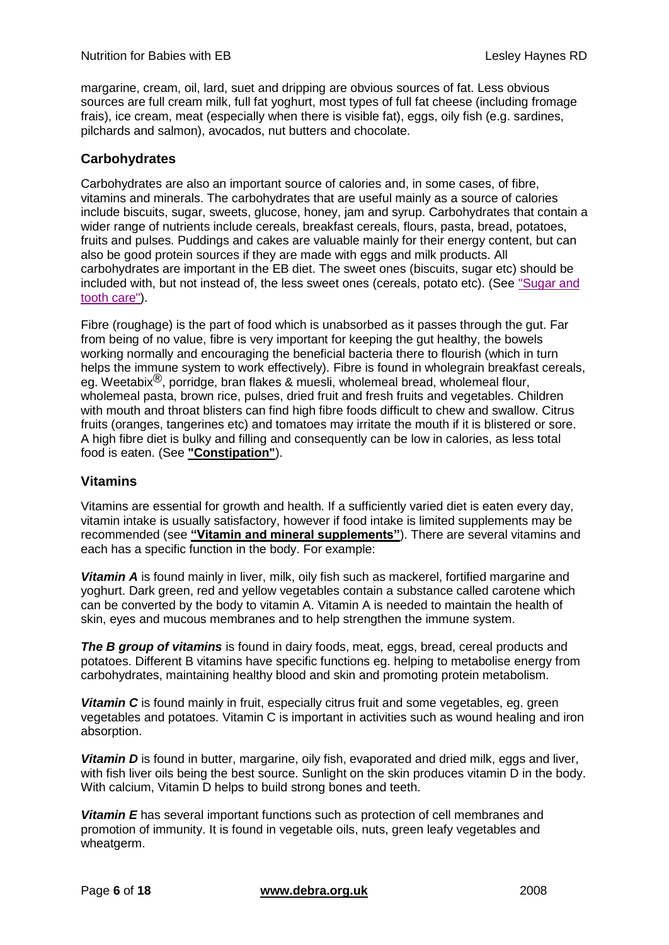margarine, cream, oil, lard, suet and dripping are obvious sources of fat. Less obvious sources are full cream milk, full fat yoghurt, most types of full fat cheese (including fromage frais), ice cream, meat (especially when there is visible fat), eggs, oily fish (e.g. sardines, pilchards and salmon), avocados, nut butters and chocolate.

#### **Carbohydrates**

Carbohydrates are also an important source of calories and, in some cases, of fibre, vitamins and minerals. The carbohydrates that are useful mainly as a source of calories include biscuits, sugar, sweets, glucose, honey, jam and syrup. Carbohydrates that contain a wider range of nutrients include cereals, breakfast cereals, flours, pasta, bread, potatoes, fruits and pulses. Puddings and cakes are valuable mainly for their energy content, but can also be good protein sources if they are made with eggs and milk products. All carbohydrates are important in the EB diet. The sweet ones (biscuits, sugar etc) should be included with, but not instead of, the less sweet ones (cereals, potato etc). (See ["Sugar and](#page-14-0)  [tooth care"\)](#page-14-0).

Fibre (roughage) is the part of food which is unabsorbed as it passes through the gut. Far from being of no value, fibre is very important for keeping the gut healthy, the bowels working normally and encouraging the beneficial bacteria there to flourish (which in turn helps the immune system to work effectively). Fibre is found in wholegrain breakfast cereals, eg. Weetabix $\mathcal{B}$ , porridge, bran flakes & muesli, wholemeal bread, wholemeal flour, wholemeal pasta, brown rice, pulses, dried fruit and fresh fruits and vegetables. Children with mouth and throat blisters can find high fibre foods difficult to chew and swallow. Citrus fruits (oranges, tangerines etc) and tomatoes may irritate the mouth if it is blistered or sore. A high fibre diet is bulky and filling and consequently can be low in calories, as less total food is eaten. (See **["Constipation"](#page-13-0)**).

#### **Vitamins**

Vitamins are essential for growth and health. If a sufficiently varied diet is eaten every day, vitamin intake is usually satisfactory, however if food intake is limited supplements may be recommended (see **["Vitamin and mineral supplements"](#page-6-1)**). There are several vitamins and each has a specific function in the body. For example:

*Vitamin A* is found mainly in liver, milk, oily fish such as mackerel, fortified margarine and yoghurt. Dark green, red and yellow vegetables contain a substance called carotene which can be converted by the body to vitamin A. Vitamin A is needed to maintain the health of skin, eyes and mucous membranes and to help strengthen the immune system.

**The B group of vitamins** is found in dairy foods, meat, eggs, bread, cereal products and potatoes. Different B vitamins have specific functions eg. helping to metabolise energy from carbohydrates, maintaining healthy blood and skin and promoting protein metabolism.

*Vitamin C* is found mainly in fruit, especially citrus fruit and some vegetables, eg. green vegetables and potatoes. Vitamin C is important in activities such as wound healing and iron absorption.

*Vitamin D* is found in butter, margarine, oily fish, evaporated and dried milk, eggs and liver, with fish liver oils being the best source. Sunlight on the skin produces vitamin D in the body. With calcium, Vitamin D helps to build strong bones and teeth.

**Vitamin E** has several important functions such as protection of cell membranes and promotion of immunity. It is found in vegetable oils, nuts, green leafy vegetables and wheatgerm.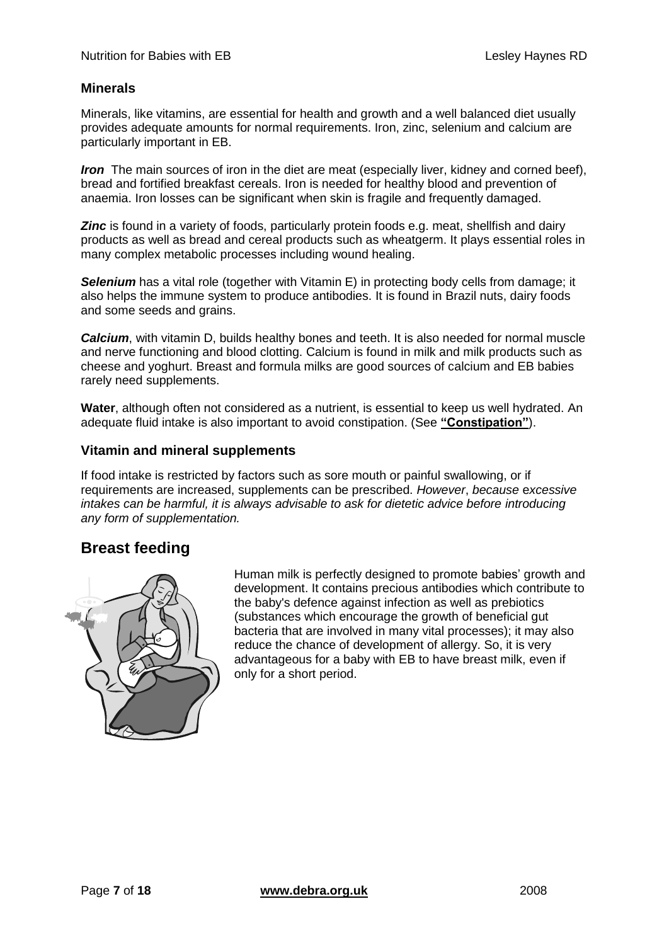#### **Minerals**

Minerals, like vitamins, are essential for health and growth and a well balanced diet usually provides adequate amounts for normal requirements. Iron, zinc, selenium and calcium are particularly important in EB.

*Iron* The main sources of iron in the diet are meat (especially liver, kidney and corned beef), bread and fortified breakfast cereals. Iron is needed for healthy blood and prevention of anaemia. Iron losses can be significant when skin is fragile and frequently damaged.

**Zinc** is found in a variety of foods, particularly protein foods e.g. meat, shellfish and dairy products as well as bread and cereal products such as wheatgerm. It plays essential roles in many complex metabolic processes including wound healing.

**Selenium** has a vital role (together with Vitamin E) in protecting body cells from damage; it also helps the immune system to produce antibodies. It is found in Brazil nuts, dairy foods and some seeds and grains.

*Calcium*, with vitamin D, builds healthy bones and teeth. It is also needed for normal muscle and nerve functioning and blood clotting. Calcium is found in milk and milk products such as cheese and yoghurt. Breast and formula milks are good sources of calcium and EB babies rarely need supplements.

**Water**, although often not considered as a nutrient, is essential to keep us well hydrated. An adequate fluid intake is also important to avoid constipation. (See **["Constipation"](#page-13-0)**).

#### <span id="page-6-1"></span>**Vitamin and mineral supplements**

If food intake is restricted by factors such as sore mouth or painful swallowing, or if requirements are increased, supplements can be prescribed. *However*, *because* e*xcessive intakes can be harmful, it is always advisable to ask for dietetic advice before introducing any form of supplementation.*

### <span id="page-6-0"></span>**Breast feeding**



Human milk is perfectly designed to promote babies' growth and development. It contains precious antibodies which contribute to the baby's defence against infection as well as prebiotics (substances which encourage the growth of beneficial gut bacteria that are involved in many vital processes); it may also reduce the chance of development of allergy. So, it is very advantageous for a baby with EB to have breast milk, even if only for a short period.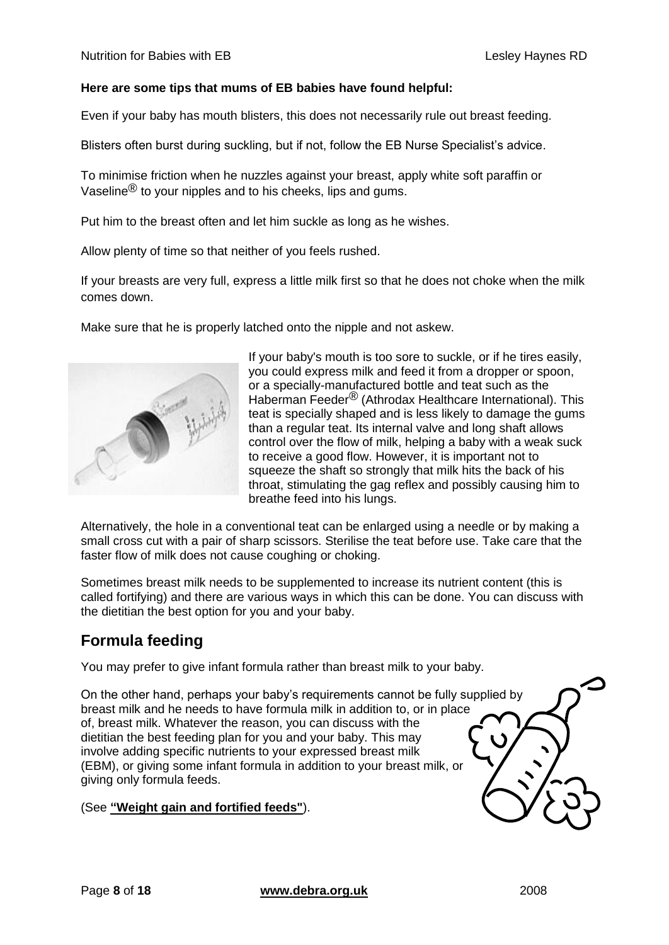#### **Here are some tips that mums of EB babies have found helpful:**

Even if your baby has mouth blisters, this does not necessarily rule out breast feeding.

Blisters often burst during suckling, but if not, follow the EB Nurse Specialist's advice.

To minimise friction when he nuzzles against your breast, apply white soft paraffin or Vaseline $^{\circledR}$  to your nipples and to his cheeks, lips and gums.

Put him to the breast often and let him suckle as long as he wishes.

Allow plenty of time so that neither of you feels rushed.

If your breasts are very full, express a little milk first so that he does not choke when the milk comes down.

Make sure that he is properly latched onto the nipple and not askew.



If your baby's mouth is too sore to suckle, or if he tires easily, you could express milk and feed it from a dropper or spoon, or a specially-manufactured bottle and teat such as the Haberman Feeder® (Athrodax Healthcare International). This teat is specially shaped and is less likely to damage the gums than a regular teat. Its internal valve and long shaft allows control over the flow of milk, helping a baby with a weak suck to receive a good flow. However, it is important not to squeeze the shaft so strongly that milk hits the back of his throat, stimulating the gag reflex and possibly causing him to breathe feed into his lungs.

Alternatively, the hole in a conventional teat can be enlarged using a needle or by making a small cross cut with a pair of sharp scissors. Sterilise the teat before use. Take care that the faster flow of milk does not cause coughing or choking.

Sometimes breast milk needs to be supplemented to increase its nutrient content (this is called fortifying) and there are various ways in which this can be done. You can discuss with the dietitian the best option for you and your baby.

## <span id="page-7-0"></span>**Formula feeding**

You may prefer to give infant formula rather than breast milk to your baby.

On the other hand, perhaps your baby's requirements cannot be fully supplied by breast milk and he needs to have formula milk in addition to, or in place of, breast milk. Whatever the reason, you can discuss with the dietitian the best feeding plan for you and your baby. This may involve adding specific nutrients to your expressed breast milk (EBM), or giving some infant formula in addition to your breast milk, or giving only formula feeds.

#### (See **["Weight gain and fortified feeds"](#page-8-0)**).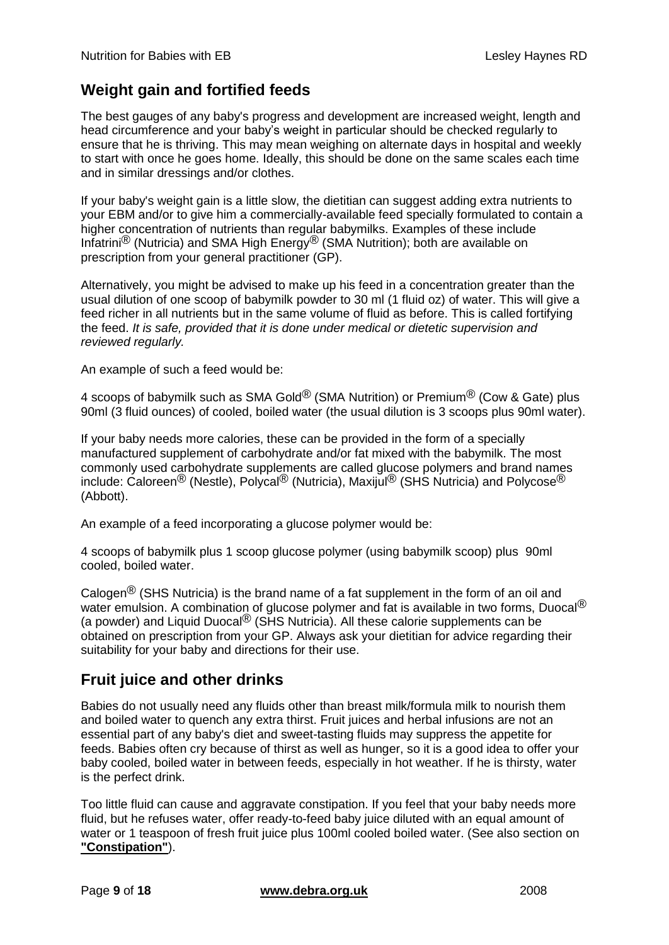# <span id="page-8-0"></span>**Weight gain and fortified feeds**

The best gauges of any baby's progress and development are increased weight, length and head circumference and your baby's weight in particular should be checked regularly to ensure that he is thriving. This may mean weighing on alternate days in hospital and weekly to start with once he goes home. Ideally, this should be done on the same scales each time and in similar dressings and/or clothes.

If your baby's weight gain is a little slow, the dietitian can suggest adding extra nutrients to your EBM and/or to give him a commercially-available feed specially formulated to contain a higher concentration of nutrients than regular babymilks. Examples of these include Infatrini<sup>®</sup> (Nutricia) and SMA High Energy<sup>®</sup> (SMA Nutrition); both are available on prescription from your general practitioner (GP).

Alternatively, you might be advised to make up his feed in a concentration greater than the usual dilution of one scoop of babymilk powder to 30 ml (1 fluid oz) of water. This will give a feed richer in all nutrients but in the same volume of fluid as before. This is called fortifying the feed. *It is safe, provided that it is done under medical or dietetic supervision and reviewed regularly.* 

An example of such a feed would be:

4 scoops of babymilk such as SMA Gold<sup>®</sup> (SMA Nutrition) or Premium<sup>®</sup> (Cow & Gate) plus 90ml (3 fluid ounces) of cooled, boiled water (the usual dilution is 3 scoops plus 90ml water).

If your baby needs more calories, these can be provided in the form of a specially manufactured supplement of carbohydrate and/or fat mixed with the babymilk. The most commonly used carbohydrate supplements are called glucose polymers and brand names include: Caloreen<sup>®</sup> (Nestle), Polycal<sup>®</sup> (Nutricia), Maxijul<sup>®</sup> (SHS Nutricia) and Polycose<sup>®</sup> (Abbott).

An example of a feed incorporating a glucose polymer would be:

4 scoops of babymilk plus 1 scoop glucose polymer (using babymilk scoop) plus 90ml cooled, boiled water.

Calogen<sup>®</sup> (SHS Nutricia) is the brand name of a fat supplement in the form of an oil and water emulsion. A combination of glucose polymer and fat is available in two forms, Duocal<sup>®</sup> (a powder) and Liquid Duocal<sup>®</sup> (SHS Nutricia). All these calorie supplements can be obtained on prescription from your GP. Always ask your dietitian for advice regarding their suitability for your baby and directions for their use.

## <span id="page-8-1"></span>**Fruit juice and other drinks**

Babies do not usually need any fluids other than breast milk/formula milk to nourish them and boiled water to quench any extra thirst. Fruit juices and herbal infusions are not an essential part of any baby's diet and sweet-tasting fluids may suppress the appetite for feeds. Babies often cry because of thirst as well as hunger, so it is a good idea to offer your baby cooled, boiled water in between feeds, especially in hot weather. If he is thirsty, water is the perfect drink.

Too little fluid can cause and aggravate constipation. If you feel that your baby needs more fluid, but he refuses water, offer ready-to-feed baby juice diluted with an equal amount of water or 1 teaspoon of fresh fruit juice plus 100ml cooled boiled water. (See also section on **["Constipation"](#page-13-0)**).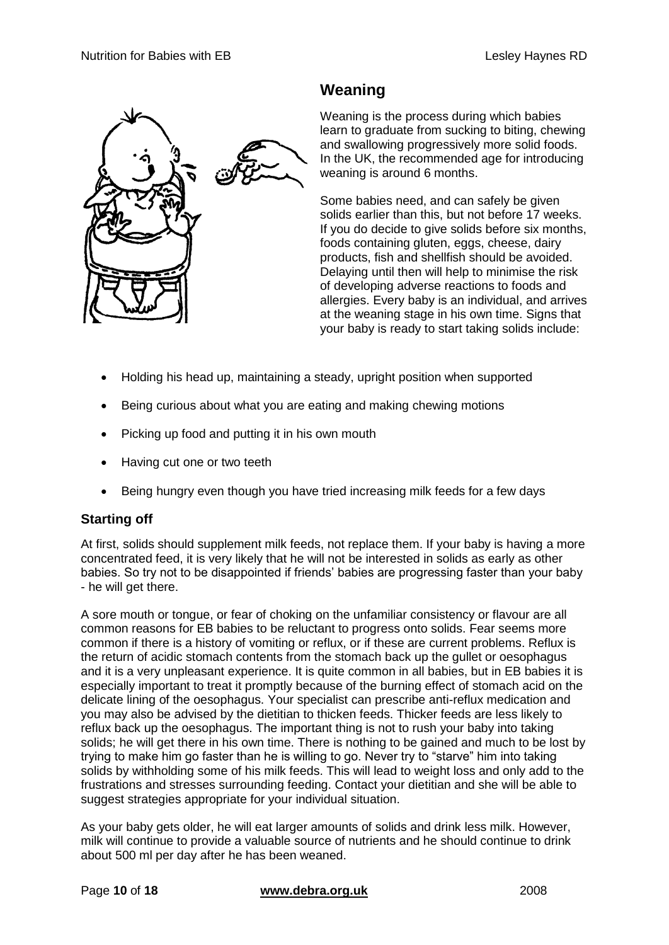

# <span id="page-9-0"></span>**Weaning**

Weaning is the process during which babies learn to graduate from sucking to biting, chewing and swallowing progressively more solid foods. In the UK, the recommended age for introducing weaning is around 6 months.

Some babies need, and can safely be given solids earlier than this, but not before 17 weeks. If you do decide to give solids before six months, foods containing gluten, eggs, cheese, dairy products, fish and shellfish should be avoided. Delaying until then will help to minimise the risk of developing adverse reactions to foods and allergies. Every baby is an individual, and arrives at the weaning stage in his own time. Signs that your baby is ready to start taking solids include:

- Holding his head up, maintaining a steady, upright position when supported
- Being curious about what you are eating and making chewing motions
- Picking up food and putting it in his own mouth
- Having cut one or two teeth
- Being hungry even though you have tried increasing milk feeds for a few days

#### **Starting off**

At first, solids should supplement milk feeds, not replace them. If your baby is having a more concentrated feed, it is very likely that he will not be interested in solids as early as other babies. So try not to be disappointed if friends' babies are progressing faster than your baby - he will get there.

A sore mouth or tongue, or fear of choking on the unfamiliar consistency or flavour are all common reasons for EB babies to be reluctant to progress onto solids. Fear seems more common if there is a history of vomiting or reflux, or if these are current problems. Reflux is the return of acidic stomach contents from the stomach back up the gullet or oesophagus and it is a very unpleasant experience. It is quite common in all babies, but in EB babies it is especially important to treat it promptly because of the burning effect of stomach acid on the delicate lining of the oesophagus. Your specialist can prescribe anti-reflux medication and you may also be advised by the dietitian to thicken feeds. Thicker feeds are less likely to reflux back up the oesophagus. The important thing is not to rush your baby into taking solids; he will get there in his own time. There is nothing to be gained and much to be lost by trying to make him go faster than he is willing to go. Never try to "starve" him into taking solids by withholding some of his milk feeds. This will lead to weight loss and only add to the frustrations and stresses surrounding feeding. Contact your dietitian and she will be able to suggest strategies appropriate for your individual situation.

As your baby gets older, he will eat larger amounts of solids and drink less milk. However, milk will continue to provide a valuable source of nutrients and he should continue to drink about 500 ml per day after he has been weaned.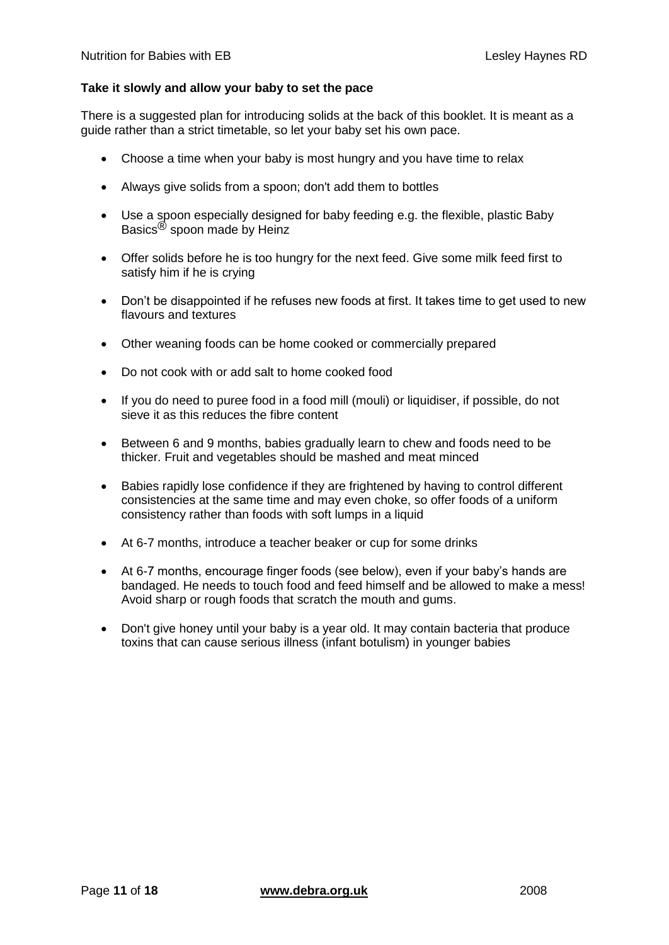#### **Take it slowly and allow your baby to set the pace**

There is a suggested plan for introducing solids at the back of this booklet. It is meant as a guide rather than a strict timetable, so let your baby set his own pace.

- Choose a time when your baby is most hungry and you have time to relax
- Always give solids from a spoon; don't add them to bottles
- Use a spoon especially designed for baby feeding e.g. the flexible, plastic Baby Basics® spoon made by Heinz
- Offer solids before he is too hungry for the next feed. Give some milk feed first to satisfy him if he is crying
- Don't be disappointed if he refuses new foods at first. It takes time to get used to new flavours and textures
- Other weaning foods can be home cooked or commercially prepared
- Do not cook with or add salt to home cooked food
- If you do need to puree food in a food mill (mouli) or liquidiser, if possible, do not sieve it as this reduces the fibre content
- Between 6 and 9 months, babies gradually learn to chew and foods need to be thicker. Fruit and vegetables should be mashed and meat minced
- Babies rapidly lose confidence if they are frightened by having to control different consistencies at the same time and may even choke, so offer foods of a uniform consistency rather than foods with soft lumps in a liquid
- At 6-7 months, introduce a teacher beaker or cup for some drinks
- At 6-7 months, encourage finger foods (see below), even if your baby's hands are bandaged. He needs to touch food and feed himself and be allowed to make a mess! Avoid sharp or rough foods that scratch the mouth and gums.
- Don't give honey until your baby is a year old. It may contain bacteria that produce toxins that can cause serious illness (infant botulism) in younger babies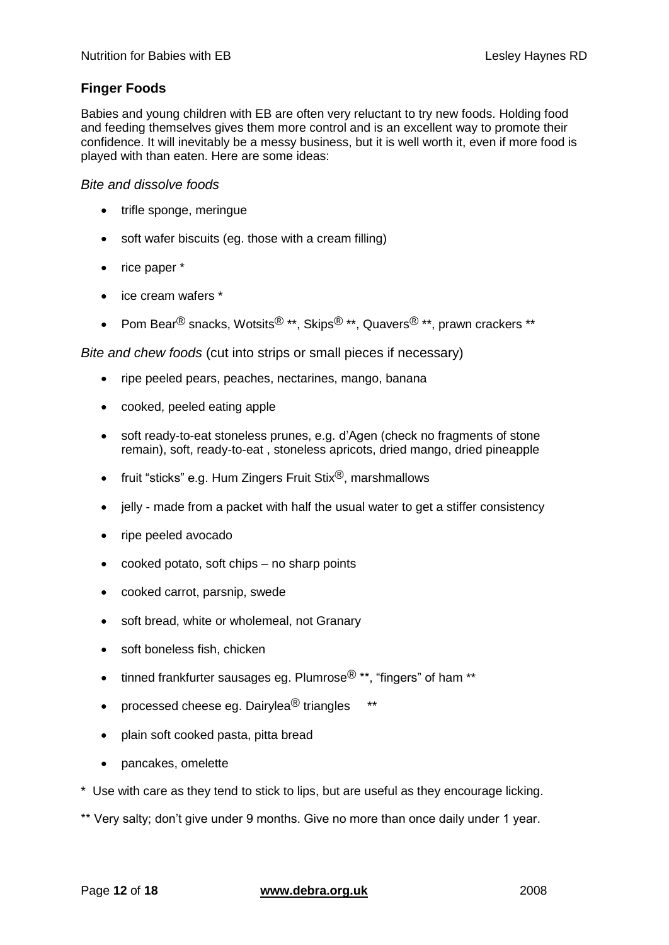### **Finger Foods**

Babies and young children with EB are often very reluctant to try new foods. Holding food and feeding themselves gives them more control and is an excellent way to promote their confidence. It will inevitably be a messy business, but it is well worth it, even if more food is played with than eaten. Here are some ideas:

#### *Bite and dissolve foods*

- trifle sponge, meringue
- soft wafer biscuits (eg. those with a cream filling)
- rice paper \*
- ice cream wafers \*
- Pom Bear<sup>®</sup> snacks, Wotsits<sup>®</sup> \*\*, Skips<sup>®</sup> \*\*, Quavers<sup>®</sup> \*\*, prawn crackers \*\*

*Bite and chew foods* (cut into strips or small pieces if necessary)

- ripe peeled pears, peaches, nectarines, mango, banana
- cooked, peeled eating apple
- soft ready-to-eat stoneless prunes, e.g. d'Agen (check no fragments of stone remain), soft, ready-to-eat , stoneless apricots, dried mango, dried pineapple
- fruit "sticks" e.g. Hum Zingers Fruit Stix $\mathbb{B}$ , marshmallows
- jelly made from a packet with half the usual water to get a stiffer consistency
- ripe peeled avocado
- cooked potato, soft chips no sharp points
- cooked carrot, parsnip, swede
- soft bread, white or wholemeal, not Granary
- soft boneless fish, chicken
- tinned frankfurter sausages eg. Plumrose $^{(8)}$  \*\*, "fingers" of ham \*\*
- processed cheese eg. Dairylea $^{\circledR}$  triangles  $^{**}$
- plain soft cooked pasta, pitta bread
- pancakes, omelette
- \* Use with care as they tend to stick to lips, but are useful as they encourage licking.
- \*\* Very salty; don't give under 9 months. Give no more than once daily under 1 year.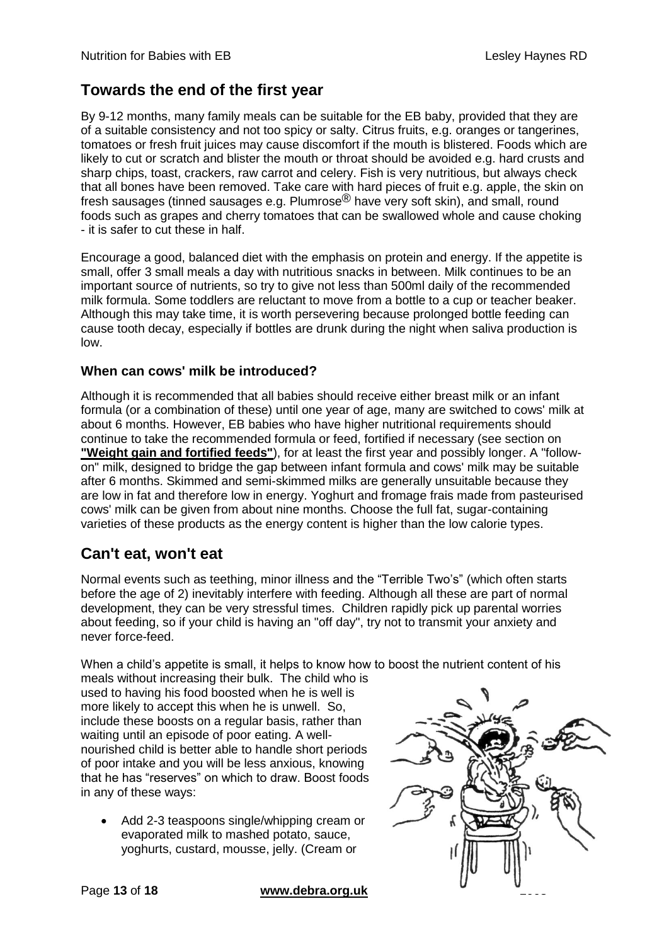### <span id="page-12-0"></span>**Towards the end of the first year**

By 9-12 months, many family meals can be suitable for the EB baby, provided that they are of a suitable consistency and not too spicy or salty. Citrus fruits, e.g. oranges or tangerines, tomatoes or fresh fruit juices may cause discomfort if the mouth is blistered. Foods which are likely to cut or scratch and blister the mouth or throat should be avoided e.g. hard crusts and sharp chips, toast, crackers, raw carrot and celery. Fish is very nutritious, but always check that all bones have been removed. Take care with hard pieces of fruit e.g. apple, the skin on fresh sausages (tinned sausages e.g. Plumrose® have very soft skin), and small, round foods such as grapes and cherry tomatoes that can be swallowed whole and cause choking - it is safer to cut these in half.

Encourage a good, balanced diet with the emphasis on protein and energy. If the appetite is small, offer 3 small meals a day with nutritious snacks in between. Milk continues to be an important source of nutrients, so try to give not less than 500ml daily of the recommended milk formula. Some toddlers are reluctant to move from a bottle to a cup or teacher beaker. Although this may take time, it is worth persevering because prolonged bottle feeding can cause tooth decay, especially if bottles are drunk during the night when saliva production is low.

#### **When can cows' milk be introduced?**

Although it is recommended that all babies should receive either breast milk or an infant formula (or a combination of these) until one year of age, many are switched to cows' milk at about 6 months. However, EB babies who have higher nutritional requirements should continue to take the recommended formula or feed, fortified if necessary (see section on **["Weight gain and fortified feeds"](#page-8-0)**), for at least the first year and possibly longer. A "followon" milk, designed to bridge the gap between infant formula and cows' milk may be suitable after 6 months. Skimmed and semi-skimmed milks are generally unsuitable because they are low in fat and therefore low in energy. Yoghurt and fromage frais made from pasteurised cows' milk can be given from about nine months. Choose the full fat, sugar-containing varieties of these products as the energy content is higher than the low calorie types.

### <span id="page-12-1"></span>**Can't eat, won't eat**

Normal events such as teething, minor illness and the "Terrible Two's" (which often starts before the age of 2) inevitably interfere with feeding. Although all these are part of normal development, they can be very stressful times. Children rapidly pick up parental worries about feeding, so if your child is having an "off day", try not to transmit your anxiety and never force-feed.

When a child's appetite is small, it helps to know how to boost the nutrient content of his

meals without increasing their bulk. The child who is used to having his food boosted when he is well is more likely to accept this when he is unwell. So, include these boosts on a regular basis, rather than waiting until an episode of poor eating. A wellnourished child is better able to handle short periods of poor intake and you will be less anxious, knowing that he has "reserves" on which to draw. Boost foods in any of these ways:

 Add 2-3 teaspoons single/whipping cream or evaporated milk to mashed potato, sauce, yoghurts, custard, mousse, jelly. (Cream or

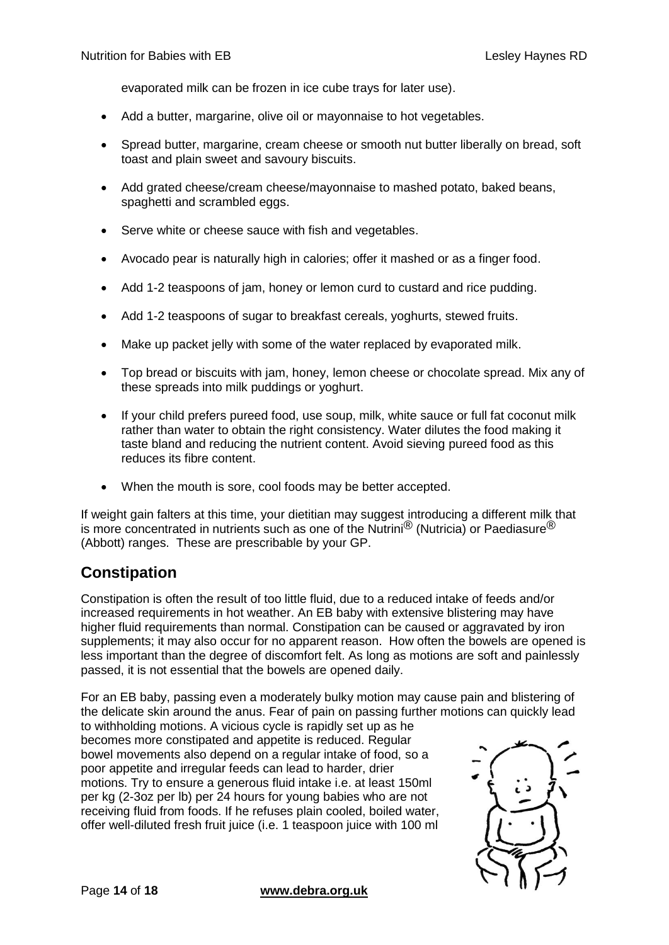evaporated milk can be frozen in ice cube trays for later use).

- Add a butter, margarine, olive oil or mayonnaise to hot vegetables.
- Spread butter, margarine, cream cheese or smooth nut butter liberally on bread, soft toast and plain sweet and savoury biscuits.
- Add grated cheese/cream cheese/mayonnaise to mashed potato, baked beans, spaghetti and scrambled eggs.
- Serve white or cheese sauce with fish and vegetables.
- Avocado pear is naturally high in calories; offer it mashed or as a finger food.
- Add 1-2 teaspoons of jam, honey or lemon curd to custard and rice pudding.
- Add 1-2 teaspoons of sugar to breakfast cereals, yoghurts, stewed fruits.
- Make up packet jelly with some of the water replaced by evaporated milk.
- Top bread or biscuits with jam, honey, lemon cheese or chocolate spread. Mix any of these spreads into milk puddings or yoghurt.
- If your child prefers pureed food, use soup, milk, white sauce or full fat coconut milk rather than water to obtain the right consistency. Water dilutes the food making it taste bland and reducing the nutrient content. Avoid sieving pureed food as this reduces its fibre content.
- When the mouth is sore, cool foods may be better accepted.

If weight gain falters at this time, your dietitian may suggest introducing a different milk that is more concentrated in nutrients such as one of the Nutrini<sup>®</sup> (Nutricia) or Paediasure<sup>®</sup> (Abbott) ranges. These are prescribable by your GP.

### <span id="page-13-0"></span>**Constipation**

Constipation is often the result of too little fluid, due to a reduced intake of feeds and/or increased requirements in hot weather. An EB baby with extensive blistering may have higher fluid requirements than normal. Constipation can be caused or aggravated by iron supplements; it may also occur for no apparent reason. How often the bowels are opened is less important than the degree of discomfort felt. As long as motions are soft and painlessly passed, it is not essential that the bowels are opened daily.

For an EB baby, passing even a moderately bulky motion may cause pain and blistering of the delicate skin around the anus. Fear of pain on passing further motions can quickly lead

to withholding motions. A vicious cycle is rapidly set up as he becomes more constipated and appetite is reduced. Regular bowel movements also depend on a regular intake of food, so a poor appetite and irregular feeds can lead to harder, drier motions. Try to ensure a generous fluid intake i.e. at least 150ml per kg (2-3oz per lb) per 24 hours for young babies who are not receiving fluid from foods. If he refuses plain cooled, boiled water, offer well-diluted fresh fruit juice (i.e. 1 teaspoon juice with 100 ml



**Page 14 of 18 www.debra.org.uk**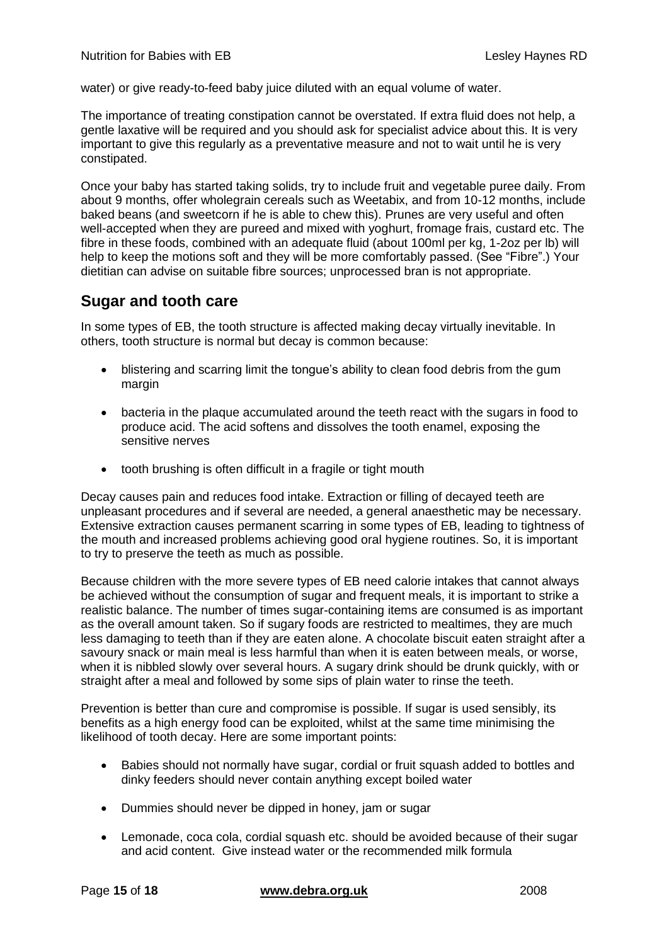water) or give ready-to-feed baby juice diluted with an equal volume of water.

The importance of treating constipation cannot be overstated. If extra fluid does not help, a gentle laxative will be required and you should ask for specialist advice about this. It is very important to give this regularly as a preventative measure and not to wait until he is very constipated.

Once your baby has started taking solids, try to include fruit and vegetable puree daily. From about 9 months, offer wholegrain cereals such as Weetabix, and from 10-12 months, include baked beans (and sweetcorn if he is able to chew this). Prunes are very useful and often well-accepted when they are pureed and mixed with yoghurt, fromage frais, custard etc. The fibre in these foods, combined with an adequate fluid (about 100ml per kg, 1-2oz per lb) will help to keep the motions soft and they will be more comfortably passed. (See "Fibre".) Your dietitian can advise on suitable fibre sources; unprocessed bran is not appropriate.

### <span id="page-14-0"></span>**Sugar and tooth care**

In some types of EB, the tooth structure is affected making decay virtually inevitable. In others, tooth structure is normal but decay is common because:

- blistering and scarring limit the tongue's ability to clean food debris from the gum margin
- bacteria in the plaque accumulated around the teeth react with the sugars in food to produce acid. The acid softens and dissolves the tooth enamel, exposing the sensitive nerves
- tooth brushing is often difficult in a fragile or tight mouth

Decay causes pain and reduces food intake. Extraction or filling of decayed teeth are unpleasant procedures and if several are needed, a general anaesthetic may be necessary. Extensive extraction causes permanent scarring in some types of EB, leading to tightness of the mouth and increased problems achieving good oral hygiene routines. So, it is important to try to preserve the teeth as much as possible.

Because children with the more severe types of EB need calorie intakes that cannot always be achieved without the consumption of sugar and frequent meals, it is important to strike a realistic balance. The number of times sugar-containing items are consumed is as important as the overall amount taken. So if sugary foods are restricted to mealtimes, they are much less damaging to teeth than if they are eaten alone. A chocolate biscuit eaten straight after a savoury snack or main meal is less harmful than when it is eaten between meals, or worse, when it is nibbled slowly over several hours. A sugary drink should be drunk quickly, with or straight after a meal and followed by some sips of plain water to rinse the teeth.

Prevention is better than cure and compromise is possible. If sugar is used sensibly, its benefits as a high energy food can be exploited, whilst at the same time minimising the likelihood of tooth decay. Here are some important points:

- Babies should not normally have sugar, cordial or fruit squash added to bottles and dinky feeders should never contain anything except boiled water
- Dummies should never be dipped in honey, jam or sugar
- Lemonade, coca cola, cordial squash etc. should be avoided because of their sugar and acid content. Give instead water or the recommended milk formula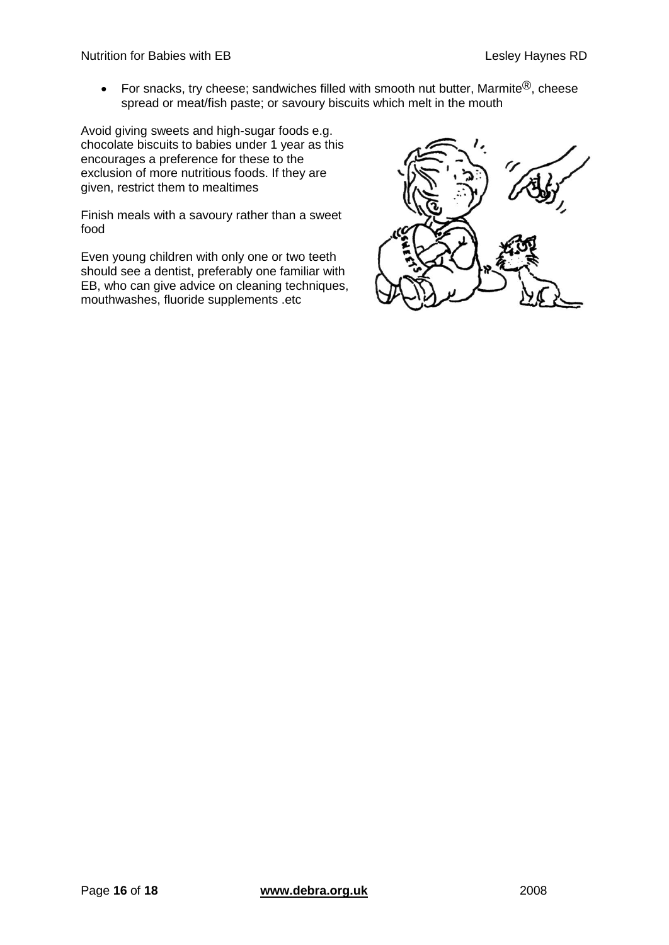For snacks, try cheese; sandwiches filled with smooth nut butter, Marmite<sup>®</sup>, cheese spread or meat/fish paste; or savoury biscuits which melt in the mouth

Avoid giving sweets and high-sugar foods e.g. chocolate biscuits to babies under 1 year as this encourages a preference for these to the exclusion of more nutritious foods. If they are given, restrict them to mealtimes

Finish meals with a savoury rather than a sweet food

<span id="page-15-0"></span>Even young children with only one or two teeth should see a dentist, preferably one familiar with EB, who can give advice on cleaning techniques, mouthwashes, fluoride supplements .etc

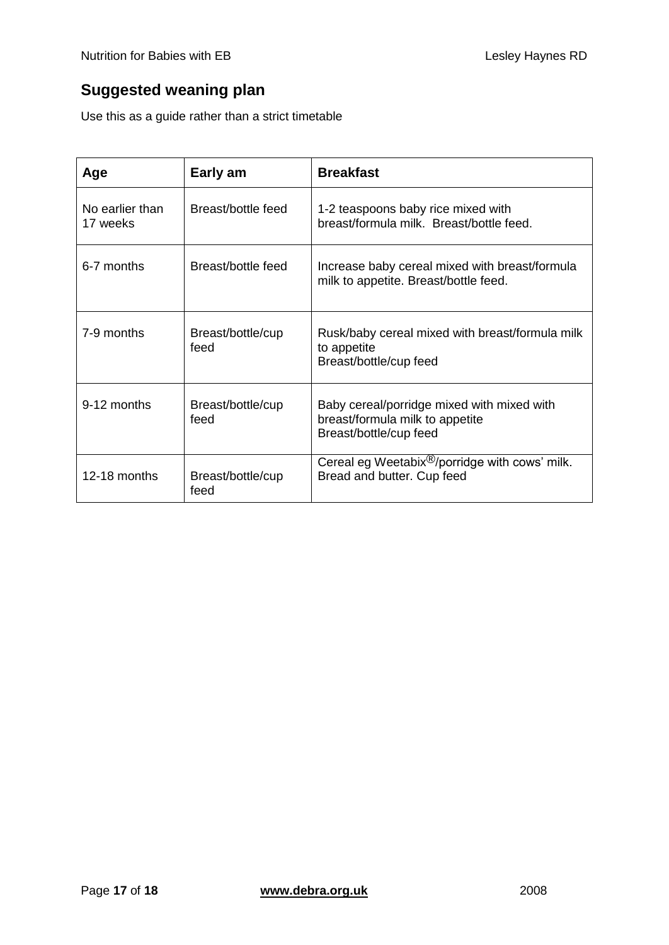# **Suggested weaning plan**

Use this as a guide rather than a strict timetable

| Age                         | Early am                  | <b>Breakfast</b>                                                                                        |
|-----------------------------|---------------------------|---------------------------------------------------------------------------------------------------------|
| No earlier than<br>17 weeks | Breast/bottle feed        | 1-2 teaspoons baby rice mixed with<br>breast/formula milk. Breast/bottle feed.                          |
| 6-7 months                  | Breast/bottle feed        | Increase baby cereal mixed with breast/formula<br>milk to appetite. Breast/bottle feed.                 |
| 7-9 months                  | Breast/bottle/cup<br>feed | Rusk/baby cereal mixed with breast/formula milk<br>to appetite<br>Breast/bottle/cup feed                |
| 9-12 months                 | Breast/bottle/cup<br>feed | Baby cereal/porridge mixed with mixed with<br>breast/formula milk to appetite<br>Breast/bottle/cup feed |
| 12-18 months                | Breast/bottle/cup<br>feed | Cereal eg Weetabix <sup>®</sup> /porridge with cows' milk.<br>Bread and butter. Cup feed                |